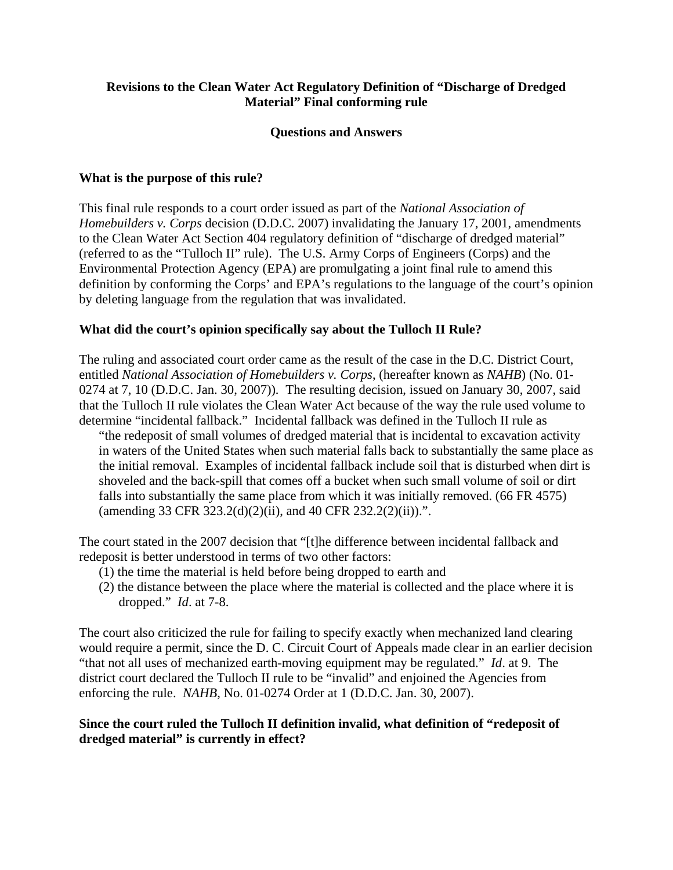# **Revisions to the Clean Water Act Regulatory Definition of "Discharge of Dredged Material" Final conforming rule**

## **Questions and Answers**

#### **What is the purpose of this rule?**

This final rule responds to a court order issued as part of the *National Association of Homebuilders v. Corps* decision (D.D.C. 2007) invalidating the January 17, 2001, amendments to the Clean Water Act Section 404 regulatory definition of "discharge of dredged material" (referred to as the "Tulloch II" rule). The U.S. Army Corps of Engineers (Corps) and the Environmental Protection Agency (EPA) are promulgating a joint final rule to amend this definition by conforming the Corps' and EPA's regulations to the language of the court's opinion by deleting language from the regulation that was invalidated.

## **What did the court's opinion specifically say about the Tulloch II Rule?**

The ruling and associated court order came as the result of the case in the D.C. District Court, entitled *National Association of Homebuilders v. Corps*, (hereafter known as *NAHB*) (No. 01- 0274 at 7, 10 (D.D.C. Jan. 30, 2007))*.* The resulting decision, issued on January 30, 2007, said that the Tulloch II rule violates the Clean Water Act because of the way the rule used volume to determine "incidental fallback." Incidental fallback was defined in the Tulloch II rule as

"the redeposit of small volumes of dredged material that is incidental to excavation activity in waters of the United States when such material falls back to substantially the same place as the initial removal. Examples of incidental fallback include soil that is disturbed when dirt is shoveled and the back-spill that comes off a bucket when such small volume of soil or dirt falls into substantially the same place from which it was initially removed. (66 FR 4575) (amending 33 CFR 323.2(d)(2)(ii), and 40 CFR 232.2(2)(ii)).".

The court stated in the 2007 decision that "[t]he difference between incidental fallback and redeposit is better understood in terms of two other factors:

- (1) the time the material is held before being dropped to earth and
- (2) the distance between the place where the material is collected and the place where it is dropped." *Id*. at 7-8.

The court also criticized the rule for failing to specify exactly when mechanized land clearing would require a permit, since the D. C. Circuit Court of Appeals made clear in an earlier decision "that not all uses of mechanized earth-moving equipment may be regulated." *Id*. at 9. The district court declared the Tulloch II rule to be "invalid" and enjoined the Agencies from enforcing the rule. *NAHB*, No. 01-0274 Order at 1 (D.D.C. Jan. 30, 2007).

## **Since the court ruled the Tulloch II definition invalid, what definition of "redeposit of dredged material" is currently in effect?**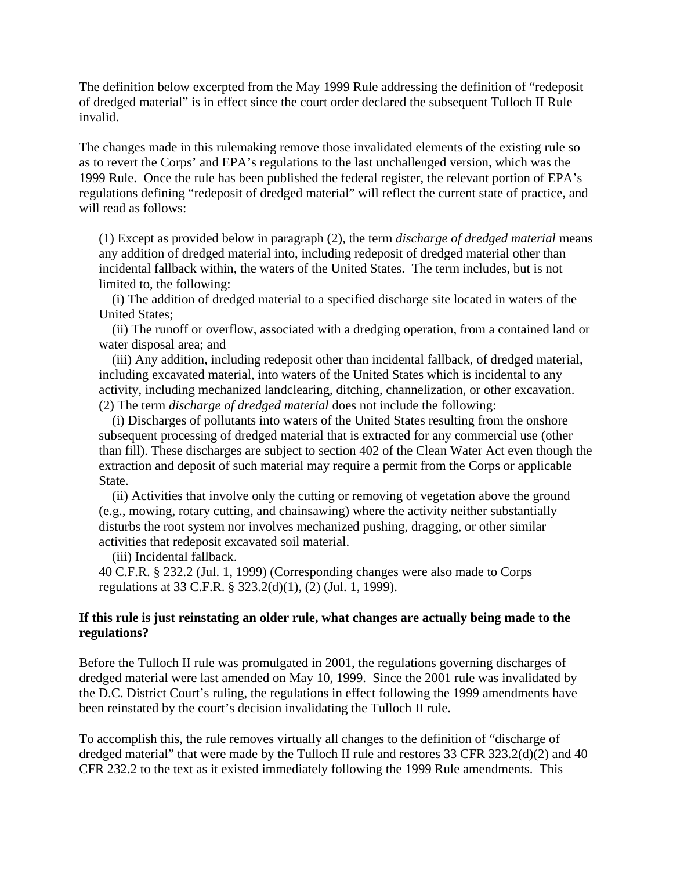The definition below excerpted from the May 1999 Rule addressing the definition of "redeposit of dredged material" is in effect since the court order declared the subsequent Tulloch II Rule invalid.

The changes made in this rulemaking remove those invalidated elements of the existing rule so as to revert the Corps' and EPA's regulations to the last unchallenged version, which was the 1999 Rule. Once the rule has been published the federal register, the relevant portion of EPA's regulations defining "redeposit of dredged material" will reflect the current state of practice, and will read as follows:

(1) Except as provided below in paragraph (2), the term *discharge of dredged material* means any addition of dredged material into, including redeposit of dredged material other than incidental fallback within, the waters of the United States. The term includes, but is not limited to, the following:

 (i) The addition of dredged material to a specified discharge site located in waters of the United States;

 (ii) The runoff or overflow, associated with a dredging operation, from a contained land or water disposal area; and

 (iii) Any addition, including redeposit other than incidental fallback, of dredged material, including excavated material, into waters of the United States which is incidental to any activity, including mechanized landclearing, ditching, channelization, or other excavation. (2) The term *discharge of dredged material* does not include the following:

 (i) Discharges of pollutants into waters of the United States resulting from the onshore subsequent processing of dredged material that is extracted for any commercial use (other than fill). These discharges are subject to section 402 of the Clean Water Act even though the extraction and deposit of such material may require a permit from the Corps or applicable State.

 (ii) Activities that involve only the cutting or removing of vegetation above the ground (e.g., mowing, rotary cutting, and chainsawing) where the activity neither substantially disturbs the root system nor involves mechanized pushing, dragging, or other similar activities that redeposit excavated soil material.

(iii) Incidental fallback.

40 C.F.R. § 232.2 (Jul. 1, 1999) (Corresponding changes were also made to Corps regulations at 33 C.F.R. § 323.2(d)(1), (2) (Jul. 1, 1999).

#### **If this rule is just reinstating an older rule, what changes are actually being made to the regulations?**

Before the Tulloch II rule was promulgated in 2001, the regulations governing discharges of dredged material were last amended on May 10, 1999. Since the 2001 rule was invalidated by the D.C. District Court's ruling, the regulations in effect following the 1999 amendments have been reinstated by the court's decision invalidating the Tulloch II rule.

To accomplish this, the rule removes virtually all changes to the definition of "discharge of dredged material" that were made by the Tulloch II rule and restores 33 CFR 323.2(d)(2) and 40 CFR 232.2 to the text as it existed immediately following the 1999 Rule amendments. This